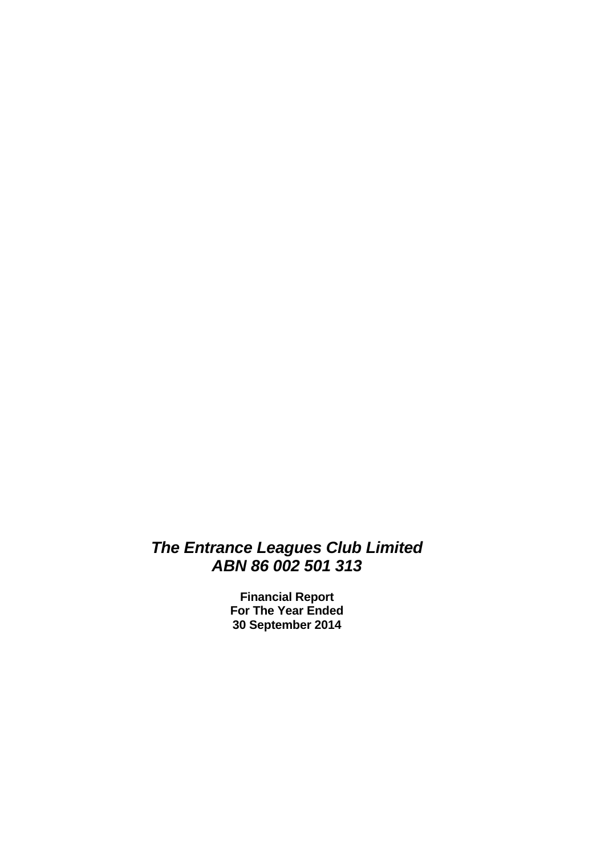**Financial Report For The Year Ended 30 September 2014**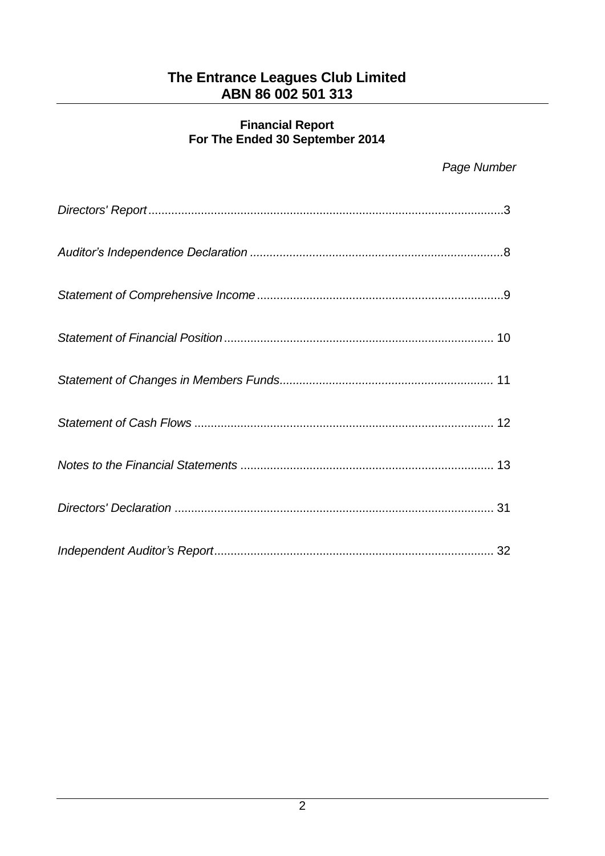#### **Financial Report For The Ended 30 September 2014**

| Page Number |
|-------------|
|             |
|             |
|             |
|             |
|             |
|             |
|             |
|             |
|             |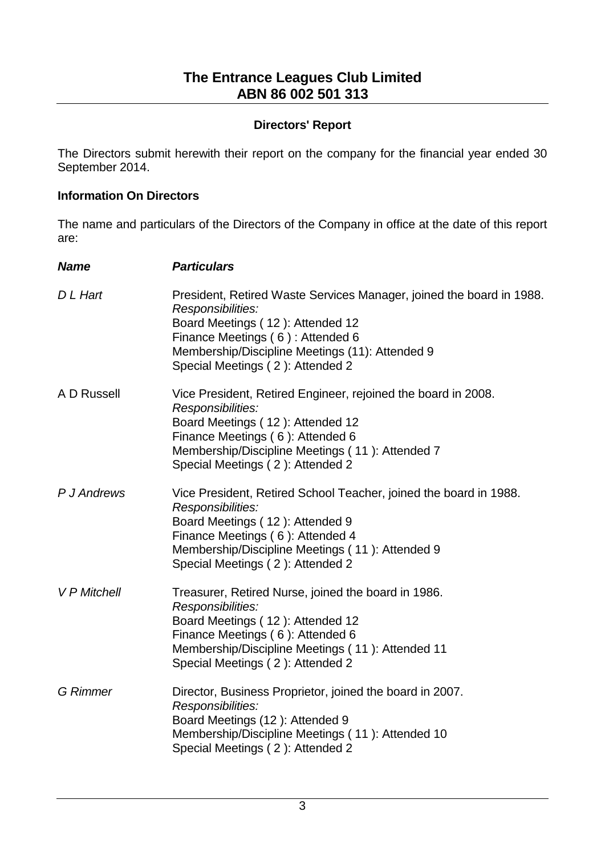# **Directors' Report**

The Directors submit herewith their report on the company for the financial year ended 30 September 2014.

# **Information On Directors**

The name and particulars of the Directors of the Company in office at the date of this report are:

| <b>Name</b>         | <b>Particulars</b>                                                                                                                                                                                                                                       |
|---------------------|----------------------------------------------------------------------------------------------------------------------------------------------------------------------------------------------------------------------------------------------------------|
| D L Hart            | President, Retired Waste Services Manager, joined the board in 1988.<br>Responsibilities:<br>Board Meetings (12): Attended 12<br>Finance Meetings (6): Attended 6<br>Membership/Discipline Meetings (11): Attended 9<br>Special Meetings (2): Attended 2 |
| A D Russell         | Vice President, Retired Engineer, rejoined the board in 2008.<br>Responsibilities:<br>Board Meetings (12): Attended 12<br>Finance Meetings (6): Attended 6<br>Membership/Discipline Meetings (11): Attended 7<br>Special Meetings (2): Attended 2        |
| P J Andrews         | Vice President, Retired School Teacher, joined the board in 1988.<br>Responsibilities:<br>Board Meetings (12): Attended 9<br>Finance Meetings (6): Attended 4<br>Membership/Discipline Meetings (11): Attended 9<br>Special Meetings (2): Attended 2     |
| <b>V P Mitchell</b> | Treasurer, Retired Nurse, joined the board in 1986.<br>Responsibilities:<br>Board Meetings (12): Attended 12<br>Finance Meetings (6): Attended 6<br>Membership/Discipline Meetings (11): Attended 11<br>Special Meetings (2): Attended 2                 |
| <b>G</b> Rimmer     | Director, Business Proprietor, joined the board in 2007.<br>Responsibilities:<br>Board Meetings (12): Attended 9<br>Membership/Discipline Meetings (11): Attended 10<br>Special Meetings (2): Attended 2                                                 |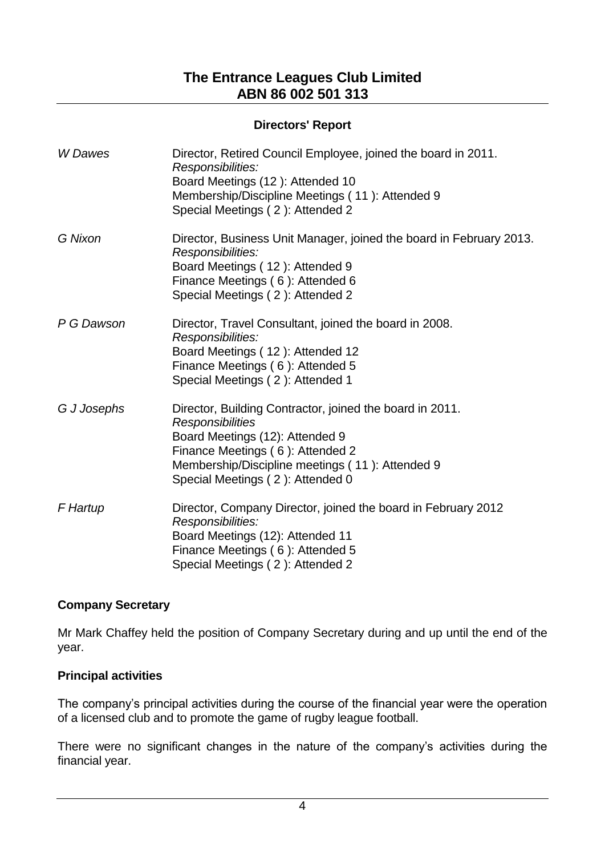# **Directors' Report**

| <b>W</b> Dawes | Director, Retired Council Employee, joined the board in 2011.<br>Responsibilities:<br>Board Meetings (12): Attended 10<br>Membership/Discipline Meetings (11): Attended 9<br>Special Meetings (2): Attended 2                                     |
|----------------|---------------------------------------------------------------------------------------------------------------------------------------------------------------------------------------------------------------------------------------------------|
| G Nixon        | Director, Business Unit Manager, joined the board in February 2013.<br>Responsibilities:<br>Board Meetings (12): Attended 9<br>Finance Meetings (6): Attended 6<br>Special Meetings (2): Attended 2                                               |
| P G Dawson     | Director, Travel Consultant, joined the board in 2008.<br>Responsibilities:<br>Board Meetings (12): Attended 12<br>Finance Meetings (6): Attended 5<br>Special Meetings (2): Attended 1                                                           |
| G J Josephs    | Director, Building Contractor, joined the board in 2011.<br><b>Responsibilities</b><br>Board Meetings (12): Attended 9<br>Finance Meetings (6): Attended 2<br>Membership/Discipline meetings (11): Attended 9<br>Special Meetings (2): Attended 0 |
| F Hartup       | Director, Company Director, joined the board in February 2012<br>Responsibilities:<br>Board Meetings (12): Attended 11<br>Finance Meetings (6): Attended 5<br>Special Meetings (2): Attended 2                                                    |

# **Company Secretary**

Mr Mark Chaffey held the position of Company Secretary during and up until the end of the year.

# **Principal activities**

The company's principal activities during the course of the financial year were the operation of a licensed club and to promote the game of rugby league football.

There were no significant changes in the nature of the company's activities during the financial year.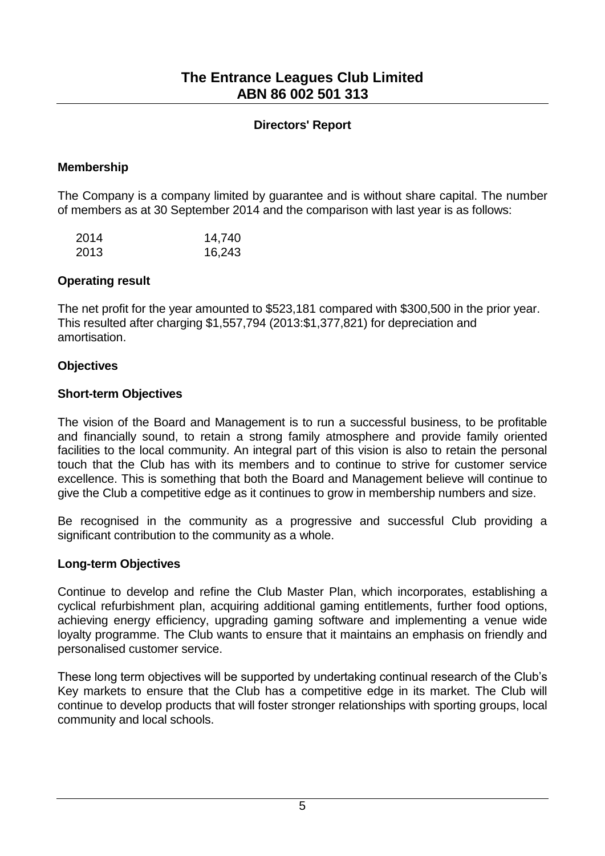# **Directors' Report**

# **Membership**

The Company is a company limited by guarantee and is without share capital. The number of members as at 30 September 2014 and the comparison with last year is as follows:

| 2014 | 14,740 |
|------|--------|
| 2013 | 16,243 |

## **Operating result**

The net profit for the year amounted to \$523,181 compared with \$300,500 in the prior year. This resulted after charging \$1,557,794 (2013:\$1,377,821) for depreciation and amortisation.

# **Objectives**

## **Short-term Objectives**

The vision of the Board and Management is to run a successful business, to be profitable and financially sound, to retain a strong family atmosphere and provide family oriented facilities to the local community. An integral part of this vision is also to retain the personal touch that the Club has with its members and to continue to strive for customer service excellence. This is something that both the Board and Management believe will continue to give the Club a competitive edge as it continues to grow in membership numbers and size.

Be recognised in the community as a progressive and successful Club providing a significant contribution to the community as a whole.

## **Long-term Objectives**

Continue to develop and refine the Club Master Plan, which incorporates, establishing a cyclical refurbishment plan, acquiring additional gaming entitlements, further food options, achieving energy efficiency, upgrading gaming software and implementing a venue wide loyalty programme. The Club wants to ensure that it maintains an emphasis on friendly and personalised customer service.

These long term objectives will be supported by undertaking continual research of the Club's Key markets to ensure that the Club has a competitive edge in its market. The Club will continue to develop products that will foster stronger relationships with sporting groups, local community and local schools.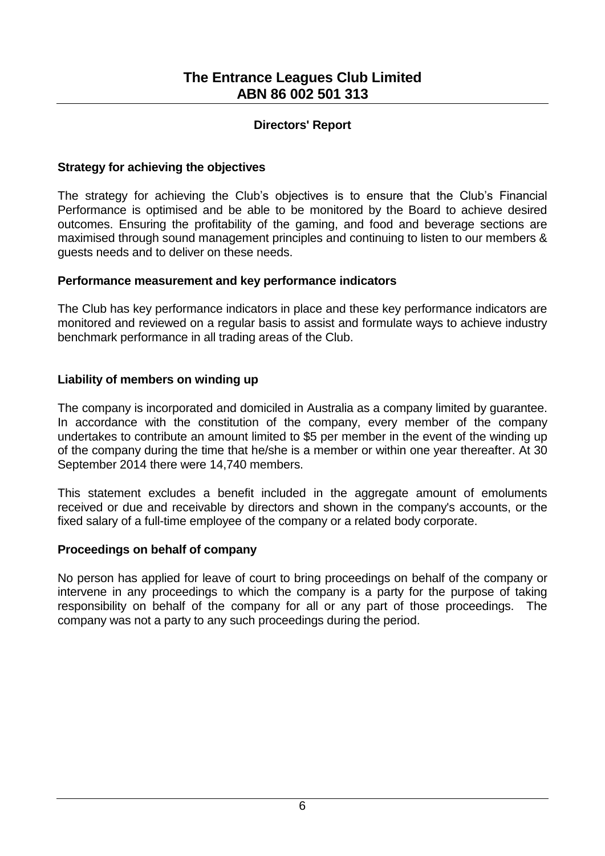## **Directors' Report**

# **Strategy for achieving the objectives**

The strategy for achieving the Club's objectives is to ensure that the Club's Financial Performance is optimised and be able to be monitored by the Board to achieve desired outcomes. Ensuring the profitability of the gaming, and food and beverage sections are maximised through sound management principles and continuing to listen to our members & guests needs and to deliver on these needs.

# **Performance measurement and key performance indicators**

The Club has key performance indicators in place and these key performance indicators are monitored and reviewed on a regular basis to assist and formulate ways to achieve industry benchmark performance in all trading areas of the Club.

# **Liability of members on winding up**

The company is incorporated and domiciled in Australia as a company limited by guarantee. In accordance with the constitution of the company, every member of the company undertakes to contribute an amount limited to \$5 per member in the event of the winding up of the company during the time that he/she is a member or within one year thereafter. At 30 September 2014 there were 14,740 members.

This statement excludes a benefit included in the aggregate amount of emoluments received or due and receivable by directors and shown in the company's accounts, or the fixed salary of a full-time employee of the company or a related body corporate.

## **Proceedings on behalf of company**

No person has applied for leave of court to bring proceedings on behalf of the company or intervene in any proceedings to which the company is a party for the purpose of taking responsibility on behalf of the company for all or any part of those proceedings. The company was not a party to any such proceedings during the period.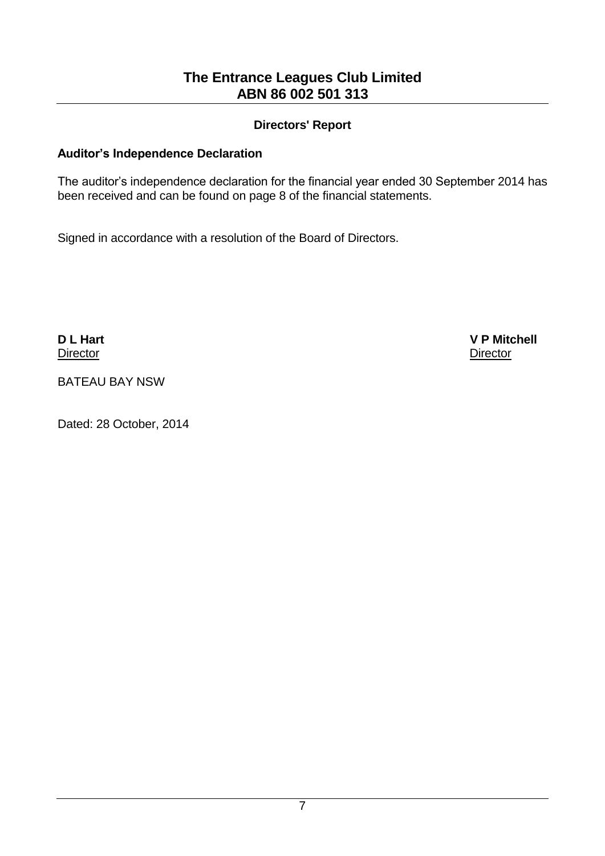# **Directors' Report**

# **Auditor's Independence Declaration**

The auditor's independence declaration for the financial year ended 30 September 2014 has been received and can be found on page 8 of the financial statements.

Signed in accordance with a resolution of the Board of Directors.

**Director** Director **Director** Director **Director Director Director** 

**D L Hart V P Mitchell**

BATEAU BAY NSW

Dated: 28 October, 2014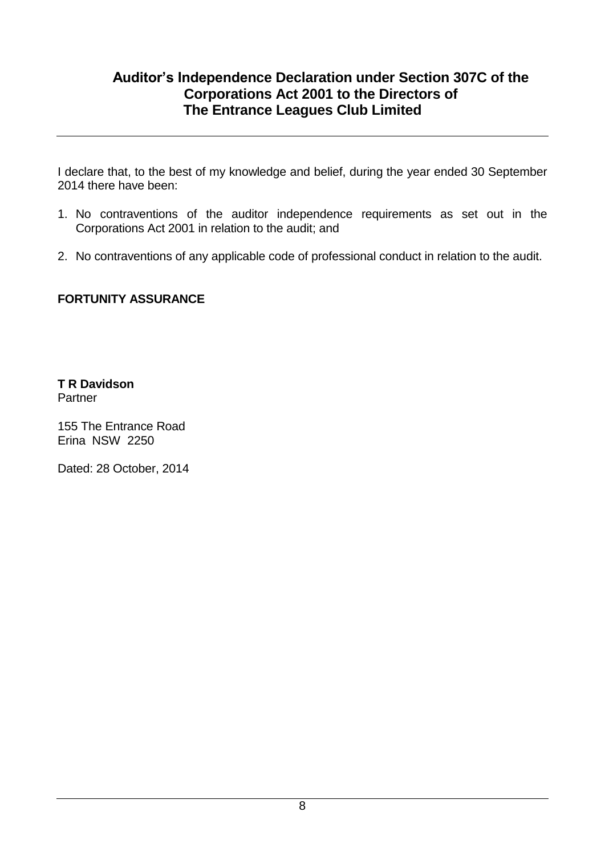# **Auditor's Independence Declaration under Section 307C of the Corporations Act 2001 to the Directors of The Entrance Leagues Club Limited**

I declare that, to the best of my knowledge and belief, during the year ended 30 September 2014 there have been:

- 1. No contraventions of the auditor independence requirements as set out in the Corporations Act 2001 in relation to the audit; and
- 2. No contraventions of any applicable code of professional conduct in relation to the audit.

# **FORTUNITY ASSURANCE**

**T R Davidson** Partner

155 The Entrance Road Erina NSW 2250

Dated: 28 October, 2014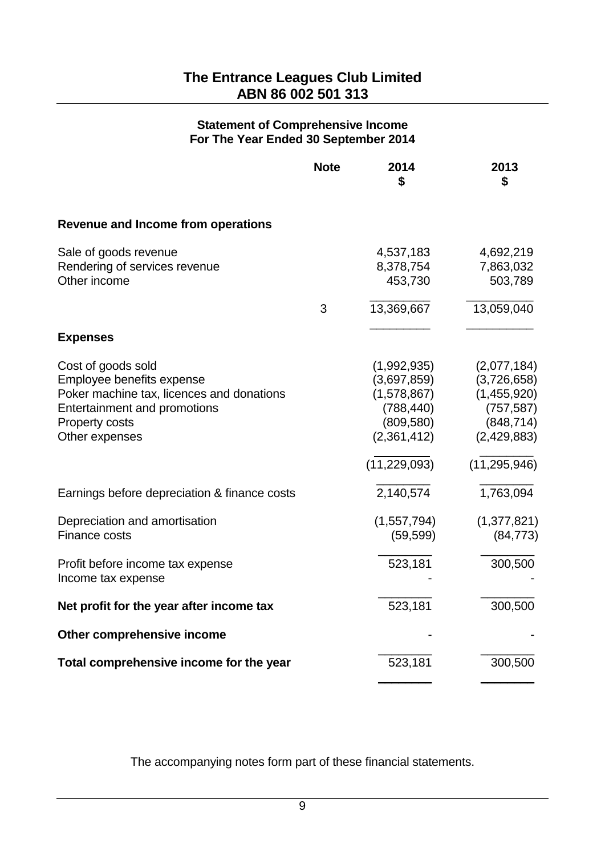### **Statement of Comprehensive Income For The Year Ended 30 September 2014**

|                                                 | <b>Note</b> | 2014<br>\$                 | 2013<br>\$                 |
|-------------------------------------------------|-------------|----------------------------|----------------------------|
| Revenue and Income from operations              |             |                            |                            |
| Sale of goods revenue                           |             | 4,537,183                  | 4,692,219                  |
| Rendering of services revenue<br>Other income   |             | 8,378,754<br>453,730       | 7,863,032<br>503,789       |
|                                                 | 3           | 13,369,667                 | 13,059,040                 |
| <b>Expenses</b>                                 |             |                            |                            |
| Cost of goods sold<br>Employee benefits expense |             | (1,992,935)<br>(3,697,859) | (2,077,184)<br>(3,726,658) |
| Poker machine tax, licences and donations       |             | (1,578,867)                | (1,455,920)                |
| Entertainment and promotions<br>Property costs  |             | (788, 440)<br>(809, 580)   | (757, 587)<br>(848, 714)   |
| Other expenses                                  |             | (2,361,412)                | (2,429,883)                |
|                                                 |             | (11, 229, 093)             | (11, 295, 946)             |
| Earnings before depreciation & finance costs    |             | 2,140,574                  | 1,763,094                  |
| Depreciation and amortisation                   |             | (1,557,794)                | (1,377,821)                |
| Finance costs                                   |             | (59, 599)                  | (84, 773)                  |
| Profit before income tax expense                |             | 523,181                    | 300,500                    |
| Income tax expense                              |             |                            |                            |
| Net profit for the year after income tax        |             | 523,181                    | 300,500                    |
| Other comprehensive income                      |             |                            |                            |
| Total comprehensive income for the year         |             | 523,181                    | 300,500                    |
|                                                 |             |                            |                            |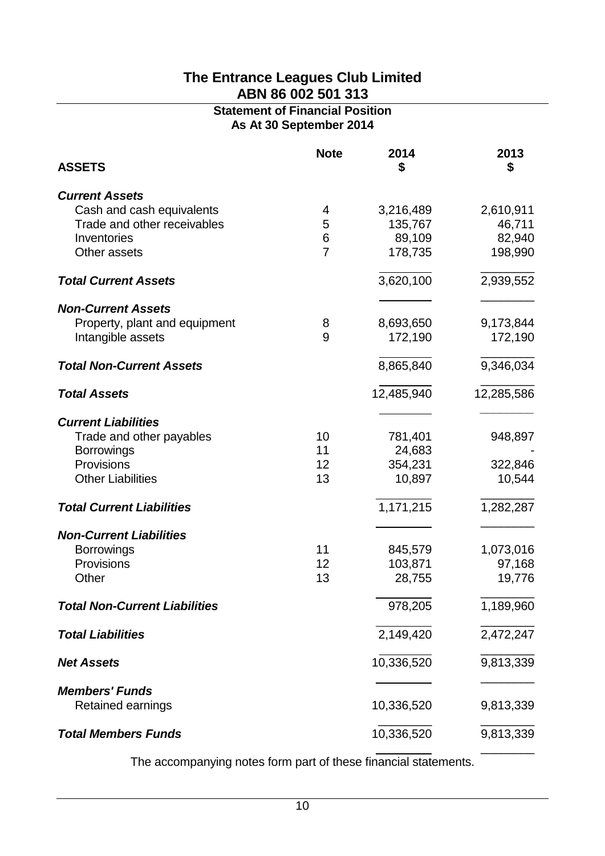# **Statement of Financial Position As At 30 September 2014**

| <b>Current Assets</b>                           |            |
|-------------------------------------------------|------------|
|                                                 |            |
| Cash and cash equivalents<br>3,216,489<br>4     | 2,610,911  |
| 5<br>Trade and other receivables<br>135,767     | 46,711     |
| 6<br>89,109<br>Inventories                      | 82,940     |
| $\overline{7}$<br>178,735<br>Other assets       | 198,990    |
| 3,620,100<br><b>Total Current Assets</b>        | 2,939,552  |
| <b>Non-Current Assets</b>                       |            |
| Property, plant and equipment<br>8,693,650<br>8 | 9,173,844  |
| Intangible assets<br>9<br>172,190               | 172,190    |
| <b>Total Non-Current Assets</b><br>8,865,840    | 9,346,034  |
| 12,485,940<br><b>Total Assets</b>               | 12,285,586 |
| <b>Current Liabilities</b>                      |            |
| Trade and other payables<br>10<br>781,401       | 948,897    |
| 11<br>24,683<br><b>Borrowings</b>               |            |
| Provisions<br>12<br>354,231                     | 322,846    |
| <b>Other Liabilities</b><br>13<br>10,897        | 10,544     |
| 1,171,215<br><b>Total Current Liabilities</b>   | 1,282,287  |
| <b>Non-Current Liabilities</b>                  |            |
| 11<br><b>Borrowings</b><br>845,579              | 1,073,016  |
| Provisions<br>12<br>103,871                     | 97,168     |
| Other<br>13<br>28,755                           | 19,776     |
| <b>Total Non-Current Liabilities</b><br>978,205 | 1,189,960  |
| 2,149,420<br><b>Total Liabilities</b>           | 2,472,247  |
| 10,336,520<br><b>Net Assets</b>                 | 9,813,339  |
| <b>Members' Funds</b>                           |            |
| 10,336,520<br>Retained earnings                 | 9,813,339  |
| 10,336,520<br><b>Total Members Funds</b>        | 9,813,339  |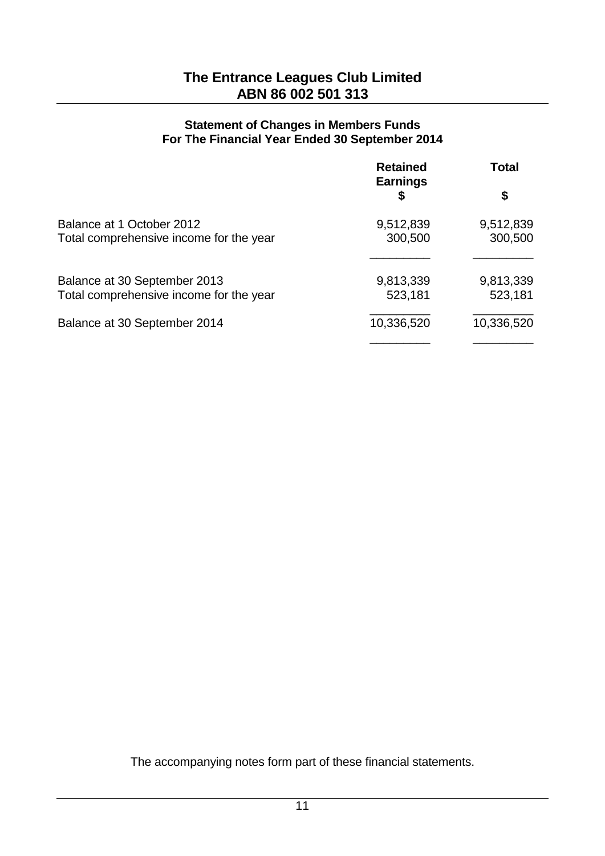#### **Statement of Changes in Members Funds For The Financial Year Ended 30 September 2014**

|                                         | <b>Retained</b><br><b>Earnings</b> | Total      |  |
|-----------------------------------------|------------------------------------|------------|--|
|                                         | S                                  | \$         |  |
| Balance at 1 October 2012               | 9,512,839                          | 9,512,839  |  |
| Total comprehensive income for the year | 300,500                            | 300,500    |  |
| Balance at 30 September 2013            | 9,813,339                          | 9,813,339  |  |
| Total comprehensive income for the year | 523,181                            | 523,181    |  |
| Balance at 30 September 2014            | 10,336,520                         | 10,336,520 |  |
|                                         |                                    |            |  |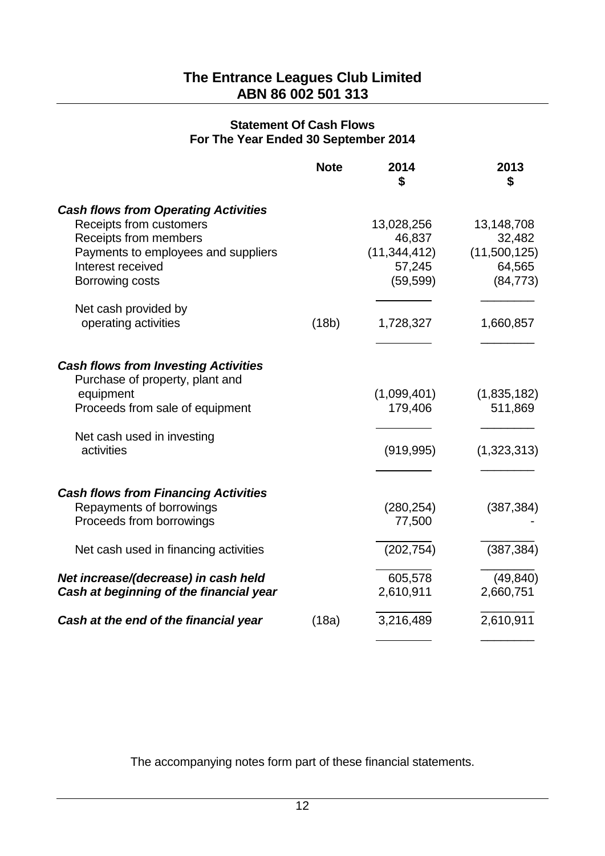#### **Statement Of Cash Flows For The Year Ended 30 September 2014**

|                                                                                                                                                                                | <b>Note</b> | 2014                                                          | 2013<br>\$                                                  |
|--------------------------------------------------------------------------------------------------------------------------------------------------------------------------------|-------------|---------------------------------------------------------------|-------------------------------------------------------------|
| <b>Cash flows from Operating Activities</b><br>Receipts from customers<br>Receipts from members<br>Payments to employees and suppliers<br>Interest received<br>Borrowing costs |             | 13,028,256<br>46,837<br>(11, 344, 412)<br>57,245<br>(59, 599) | 13,148,708<br>32,482<br>(11,500,125)<br>64,565<br>(84, 773) |
| Net cash provided by<br>operating activities                                                                                                                                   | (18b)       | 1,728,327                                                     | 1,660,857                                                   |
| <b>Cash flows from Investing Activities</b><br>Purchase of property, plant and<br>equipment<br>Proceeds from sale of equipment<br>Net cash used in investing<br>activities     |             | (1,099,401)<br>179,406<br>(919, 995)                          | (1,835,182)<br>511,869<br>(1,323,313)                       |
| <b>Cash flows from Financing Activities</b><br>Repayments of borrowings<br>Proceeds from borrowings                                                                            |             | (280, 254)<br>77,500                                          | (387, 384)                                                  |
| Net cash used in financing activities                                                                                                                                          |             | (202, 754)                                                    | (387, 384)                                                  |
| Net increase/(decrease) in cash held<br>Cash at beginning of the financial year                                                                                                |             | 605,578<br>2,610,911                                          | (49, 840)<br>2,660,751                                      |
| Cash at the end of the financial year                                                                                                                                          | (18a)       | 3,216,489                                                     | 2,610,911                                                   |
|                                                                                                                                                                                |             |                                                               |                                                             |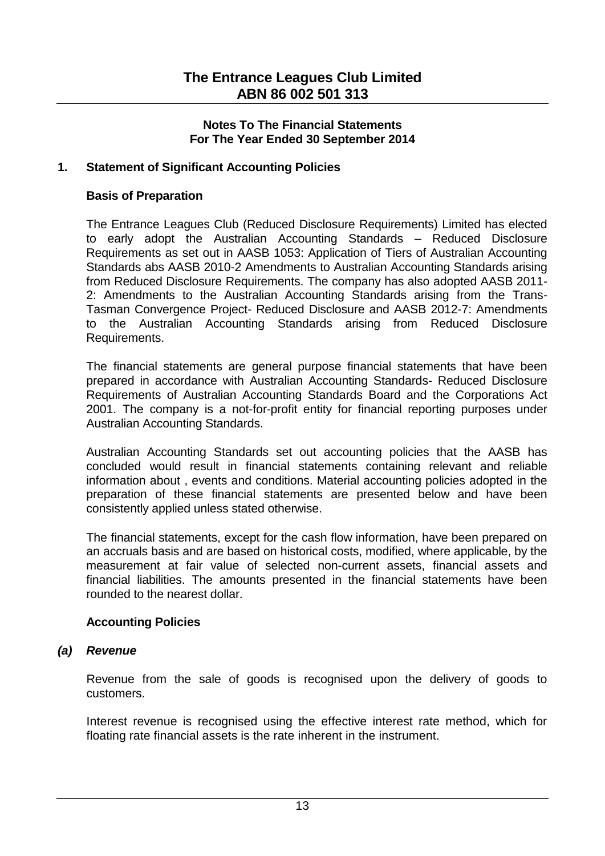## **1. Statement of Significant Accounting Policies**

#### **Basis of Preparation**

The Entrance Leagues Club (Reduced Disclosure Requirements) Limited has elected to early adopt the Australian Accounting Standards – Reduced Disclosure Requirements as set out in AASB 1053: Application of Tiers of Australian Accounting Standards abs AASB 2010-2 Amendments to Australian Accounting Standards arising from Reduced Disclosure Requirements. The company has also adopted AASB 2011- 2: Amendments to the Australian Accounting Standards arising from the Trans-Tasman Convergence Project- Reduced Disclosure and AASB 2012-7: Amendments to the Australian Accounting Standards arising from Reduced Disclosure Requirements.

The financial statements are general purpose financial statements that have been prepared in accordance with Australian Accounting Standards- Reduced Disclosure Requirements of Australian Accounting Standards Board and the Corporations Act 2001. The company is a not-for-profit entity for financial reporting purposes under Australian Accounting Standards.

Australian Accounting Standards set out accounting policies that the AASB has concluded would result in financial statements containing relevant and reliable information about , events and conditions. Material accounting policies adopted in the preparation of these financial statements are presented below and have been consistently applied unless stated otherwise.

The financial statements, except for the cash flow information, have been prepared on an accruals basis and are based on historical costs, modified, where applicable, by the measurement at fair value of selected non-current assets, financial assets and financial liabilities. The amounts presented in the financial statements have been rounded to the nearest dollar.

#### **Accounting Policies**

#### *(a) Revenue*

Revenue from the sale of goods is recognised upon the delivery of goods to customers.

Interest revenue is recognised using the effective interest rate method, which for floating rate financial assets is the rate inherent in the instrument.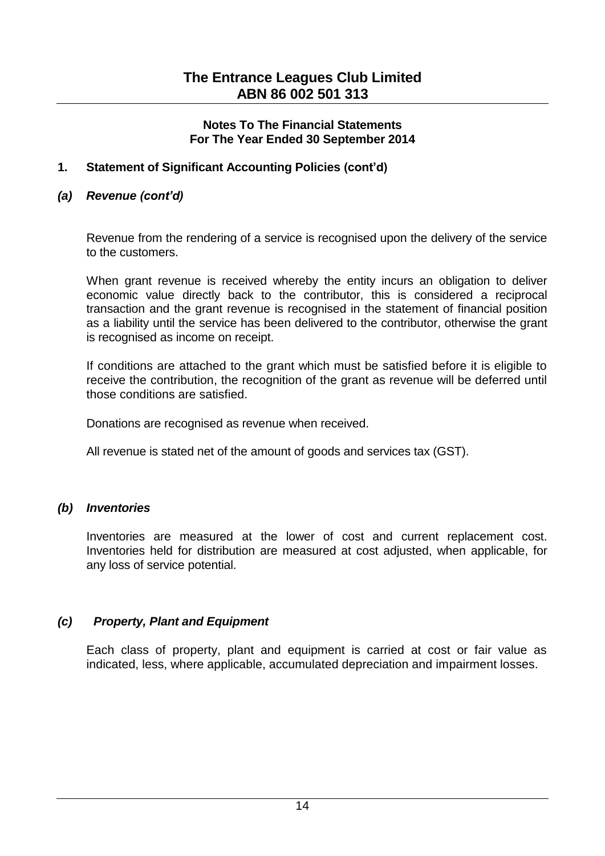# **1. Statement of Significant Accounting Policies (cont'd)**

### *(a) Revenue (cont'd)*

Revenue from the rendering of a service is recognised upon the delivery of the service to the customers.

When grant revenue is received whereby the entity incurs an obligation to deliver economic value directly back to the contributor, this is considered a reciprocal transaction and the grant revenue is recognised in the statement of financial position as a liability until the service has been delivered to the contributor, otherwise the grant is recognised as income on receipt.

If conditions are attached to the grant which must be satisfied before it is eligible to receive the contribution, the recognition of the grant as revenue will be deferred until those conditions are satisfied.

Donations are recognised as revenue when received.

All revenue is stated net of the amount of goods and services tax (GST).

## *(b) Inventories*

Inventories are measured at the lower of cost and current replacement cost. Inventories held for distribution are measured at cost adjusted, when applicable, for any loss of service potential.

## *(c) Property, Plant and Equipment*

Each class of property, plant and equipment is carried at cost or fair value as indicated, less, where applicable, accumulated depreciation and impairment losses.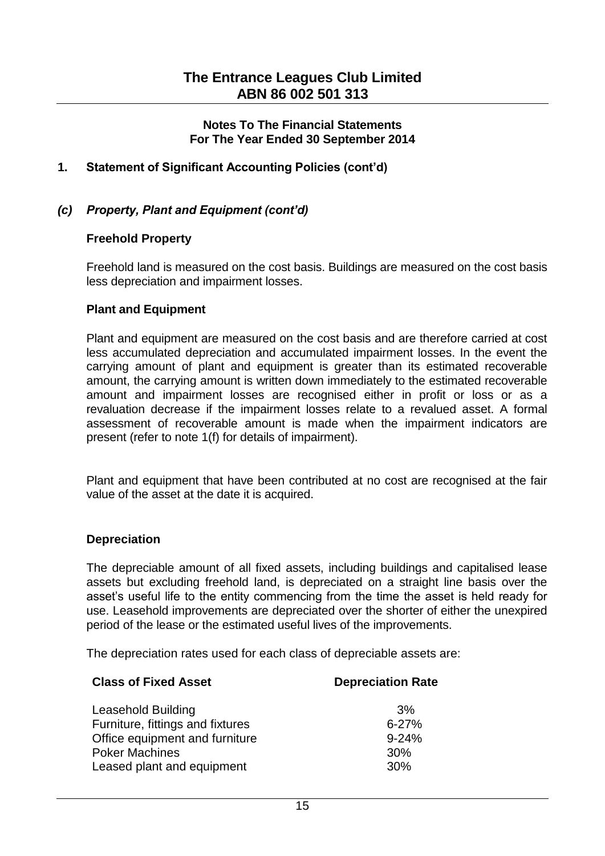# **1. Statement of Significant Accounting Policies (cont'd)**

## *(c) Property, Plant and Equipment (cont'd)*

#### **Freehold Property**

Freehold land is measured on the cost basis. Buildings are measured on the cost basis less depreciation and impairment losses.

#### **Plant and Equipment**

Plant and equipment are measured on the cost basis and are therefore carried at cost less accumulated depreciation and accumulated impairment losses. In the event the carrying amount of plant and equipment is greater than its estimated recoverable amount, the carrying amount is written down immediately to the estimated recoverable amount and impairment losses are recognised either in profit or loss or as a revaluation decrease if the impairment losses relate to a revalued asset. A formal assessment of recoverable amount is made when the impairment indicators are present (refer to note 1(f) for details of impairment).

Plant and equipment that have been contributed at no cost are recognised at the fair value of the asset at the date it is acquired.

#### **Depreciation**

The depreciable amount of all fixed assets, including buildings and capitalised lease assets but excluding freehold land, is depreciated on a straight line basis over the asset's useful life to the entity commencing from the time the asset is held ready for use. Leasehold improvements are depreciated over the shorter of either the unexpired period of the lease or the estimated useful lives of the improvements.

The depreciation rates used for each class of depreciable assets are:

| <b>Class of Fixed Asset</b>      | <b>Depreciation Rate</b> |  |  |
|----------------------------------|--------------------------|--|--|
| Leasehold Building               | 3%                       |  |  |
| Furniture, fittings and fixtures | $6 - 27%$                |  |  |
| Office equipment and furniture   | $9 - 24%$                |  |  |
| <b>Poker Machines</b>            | 30%                      |  |  |
| Leased plant and equipment       | 30%                      |  |  |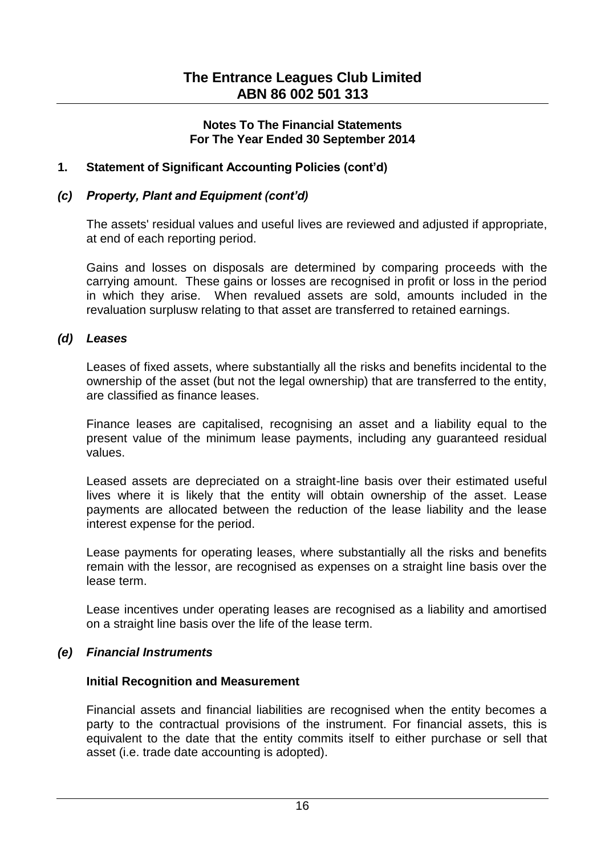## **1. Statement of Significant Accounting Policies (cont'd)**

### *(c) Property, Plant and Equipment (cont'd)*

The assets' residual values and useful lives are reviewed and adjusted if appropriate, at end of each reporting period.

Gains and losses on disposals are determined by comparing proceeds with the carrying amount. These gains or losses are recognised in profit or loss in the period in which they arise. When revalued assets are sold, amounts included in the revaluation surplusw relating to that asset are transferred to retained earnings.

### *(d) Leases*

Leases of fixed assets, where substantially all the risks and benefits incidental to the ownership of the asset (but not the legal ownership) that are transferred to the entity, are classified as finance leases.

Finance leases are capitalised, recognising an asset and a liability equal to the present value of the minimum lease payments, including any guaranteed residual values.

Leased assets are depreciated on a straight-line basis over their estimated useful lives where it is likely that the entity will obtain ownership of the asset. Lease payments are allocated between the reduction of the lease liability and the lease interest expense for the period.

Lease payments for operating leases, where substantially all the risks and benefits remain with the lessor, are recognised as expenses on a straight line basis over the lease term.

Lease incentives under operating leases are recognised as a liability and amortised on a straight line basis over the life of the lease term.

## *(e) Financial Instruments*

## **Initial Recognition and Measurement**

Financial assets and financial liabilities are recognised when the entity becomes a party to the contractual provisions of the instrument. For financial assets, this is equivalent to the date that the entity commits itself to either purchase or sell that asset (i.e. trade date accounting is adopted).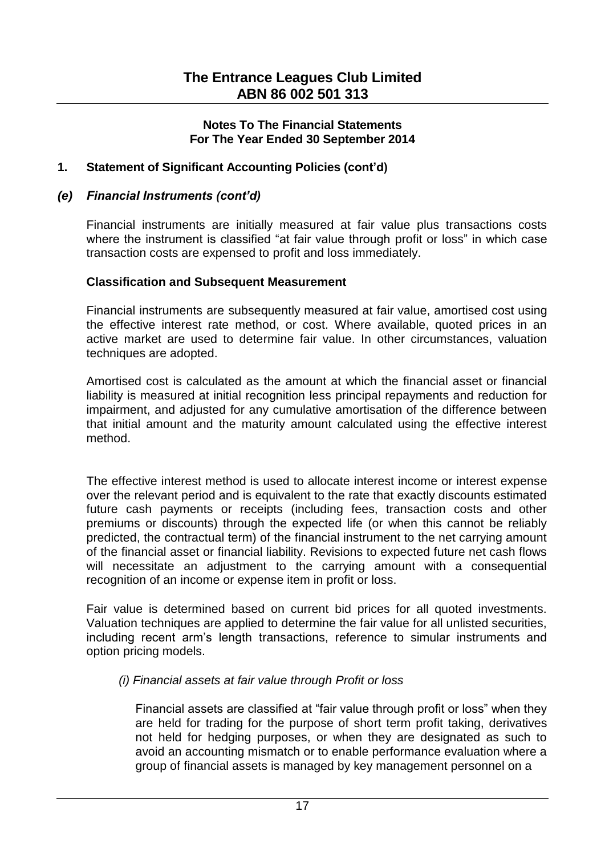# **1. Statement of Significant Accounting Policies (cont'd)**

### *(e) Financial Instruments (cont'd)*

Financial instruments are initially measured at fair value plus transactions costs where the instrument is classified "at fair value through profit or loss" in which case transaction costs are expensed to profit and loss immediately.

### **Classification and Subsequent Measurement**

Financial instruments are subsequently measured at fair value, amortised cost using the effective interest rate method, or cost. Where available, quoted prices in an active market are used to determine fair value. In other circumstances, valuation techniques are adopted.

Amortised cost is calculated as the amount at which the financial asset or financial liability is measured at initial recognition less principal repayments and reduction for impairment, and adjusted for any cumulative amortisation of the difference between that initial amount and the maturity amount calculated using the effective interest method.

The effective interest method is used to allocate interest income or interest expense over the relevant period and is equivalent to the rate that exactly discounts estimated future cash payments or receipts (including fees, transaction costs and other premiums or discounts) through the expected life (or when this cannot be reliably predicted, the contractual term) of the financial instrument to the net carrying amount of the financial asset or financial liability. Revisions to expected future net cash flows will necessitate an adjustment to the carrying amount with a consequential recognition of an income or expense item in profit or loss.

Fair value is determined based on current bid prices for all quoted investments. Valuation techniques are applied to determine the fair value for all unlisted securities, including recent arm's length transactions, reference to simular instruments and option pricing models.

## *(i) Financial assets at fair value through Profit or loss*

Financial assets are classified at "fair value through profit or loss" when they are held for trading for the purpose of short term profit taking, derivatives not held for hedging purposes, or when they are designated as such to avoid an accounting mismatch or to enable performance evaluation where a group of financial assets is managed by key management personnel on a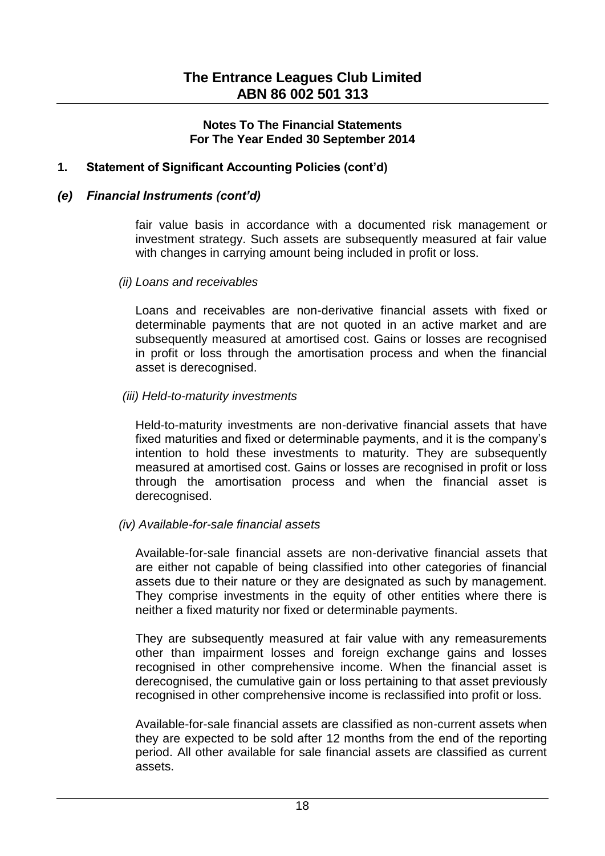# **1. Statement of Significant Accounting Policies (cont'd)**

### *(e) Financial Instruments (cont'd)*

fair value basis in accordance with a documented risk management or investment strategy. Such assets are subsequently measured at fair value with changes in carrying amount being included in profit or loss.

*(ii) Loans and receivables*

Loans and receivables are non-derivative financial assets with fixed or determinable payments that are not quoted in an active market and are subsequently measured at amortised cost. Gains or losses are recognised in profit or loss through the amortisation process and when the financial asset is derecognised.

*(iii) Held-to-maturity investments*

Held-to-maturity investments are non-derivative financial assets that have fixed maturities and fixed or determinable payments, and it is the company's intention to hold these investments to maturity. They are subsequently measured at amortised cost. Gains or losses are recognised in profit or loss through the amortisation process and when the financial asset is derecognised.

## *(iv) Available-for-sale financial assets*

Available-for-sale financial assets are non-derivative financial assets that are either not capable of being classified into other categories of financial assets due to their nature or they are designated as such by management. They comprise investments in the equity of other entities where there is neither a fixed maturity nor fixed or determinable payments.

They are subsequently measured at fair value with any remeasurements other than impairment losses and foreign exchange gains and losses recognised in other comprehensive income. When the financial asset is derecognised, the cumulative gain or loss pertaining to that asset previously recognised in other comprehensive income is reclassified into profit or loss.

Available-for-sale financial assets are classified as non-current assets when they are expected to be sold after 12 months from the end of the reporting period. All other available for sale financial assets are classified as current assets.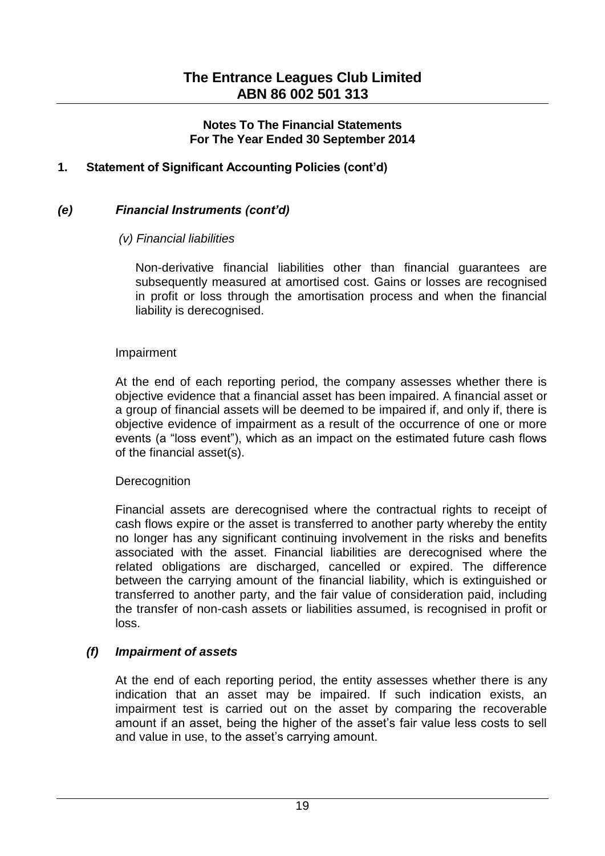# **1. Statement of Significant Accounting Policies (cont'd)**

# *(e) Financial Instruments (cont'd)*

### *(v) Financial liabilities*

Non-derivative financial liabilities other than financial guarantees are subsequently measured at amortised cost. Gains or losses are recognised in profit or loss through the amortisation process and when the financial liability is derecognised.

#### Impairment

At the end of each reporting period, the company assesses whether there is objective evidence that a financial asset has been impaired. A financial asset or a group of financial assets will be deemed to be impaired if, and only if, there is objective evidence of impairment as a result of the occurrence of one or more events (a "loss event"), which as an impact on the estimated future cash flows of the financial asset(s).

## **Derecognition**

Financial assets are derecognised where the contractual rights to receipt of cash flows expire or the asset is transferred to another party whereby the entity no longer has any significant continuing involvement in the risks and benefits associated with the asset. Financial liabilities are derecognised where the related obligations are discharged, cancelled or expired. The difference between the carrying amount of the financial liability, which is extinguished or transferred to another party, and the fair value of consideration paid, including the transfer of non-cash assets or liabilities assumed, is recognised in profit or loss.

## *(f) Impairment of assets*

At the end of each reporting period, the entity assesses whether there is any indication that an asset may be impaired. If such indication exists, an impairment test is carried out on the asset by comparing the recoverable amount if an asset, being the higher of the asset's fair value less costs to sell and value in use, to the asset's carrying amount.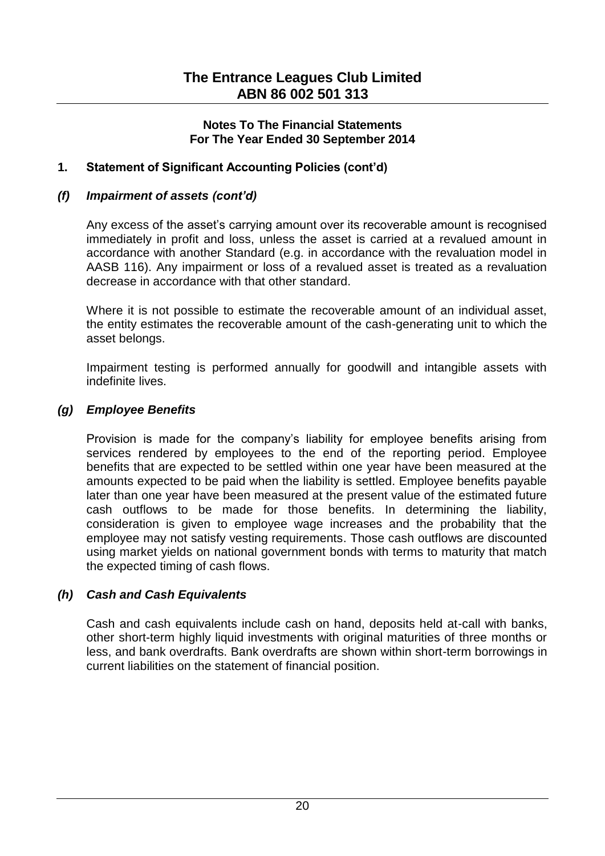# **1. Statement of Significant Accounting Policies (cont'd)**

## *(f) Impairment of assets (cont'd)*

Any excess of the asset's carrying amount over its recoverable amount is recognised immediately in profit and loss, unless the asset is carried at a revalued amount in accordance with another Standard (e.g. in accordance with the revaluation model in AASB 116). Any impairment or loss of a revalued asset is treated as a revaluation decrease in accordance with that other standard.

Where it is not possible to estimate the recoverable amount of an individual asset, the entity estimates the recoverable amount of the cash-generating unit to which the asset belongs.

Impairment testing is performed annually for goodwill and intangible assets with indefinite lives.

# *(g) Employee Benefits*

Provision is made for the company's liability for employee benefits arising from services rendered by employees to the end of the reporting period. Employee benefits that are expected to be settled within one year have been measured at the amounts expected to be paid when the liability is settled. Employee benefits payable later than one year have been measured at the present value of the estimated future cash outflows to be made for those benefits. In determining the liability, consideration is given to employee wage increases and the probability that the employee may not satisfy vesting requirements. Those cash outflows are discounted using market yields on national government bonds with terms to maturity that match the expected timing of cash flows.

# *(h) Cash and Cash Equivalents*

Cash and cash equivalents include cash on hand, deposits held at-call with banks, other short-term highly liquid investments with original maturities of three months or less, and bank overdrafts. Bank overdrafts are shown within short-term borrowings in current liabilities on the statement of financial position.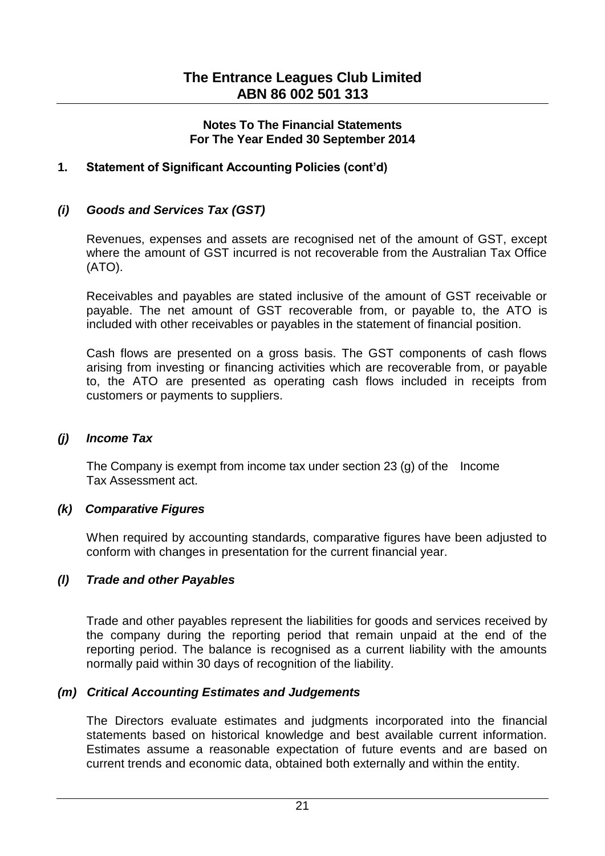# **1. Statement of Significant Accounting Policies (cont'd)**

## *(i) Goods and Services Tax (GST)*

Revenues, expenses and assets are recognised net of the amount of GST, except where the amount of GST incurred is not recoverable from the Australian Tax Office (ATO).

Receivables and payables are stated inclusive of the amount of GST receivable or payable. The net amount of GST recoverable from, or payable to, the ATO is included with other receivables or payables in the statement of financial position.

Cash flows are presented on a gross basis. The GST components of cash flows arising from investing or financing activities which are recoverable from, or payable to, the ATO are presented as operating cash flows included in receipts from customers or payments to suppliers.

## *(j) Income Tax*

The Company is exempt from income tax under section 23  $(q)$  of the Income Tax Assessment act.

## *(k) Comparative Figures*

When required by accounting standards, comparative figures have been adjusted to conform with changes in presentation for the current financial year.

## *(l) Trade and other Payables*

Trade and other payables represent the liabilities for goods and services received by the company during the reporting period that remain unpaid at the end of the reporting period. The balance is recognised as a current liability with the amounts normally paid within 30 days of recognition of the liability.

## *(m) Critical Accounting Estimates and Judgements*

The Directors evaluate estimates and judgments incorporated into the financial statements based on historical knowledge and best available current information. Estimates assume a reasonable expectation of future events and are based on current trends and economic data, obtained both externally and within the entity.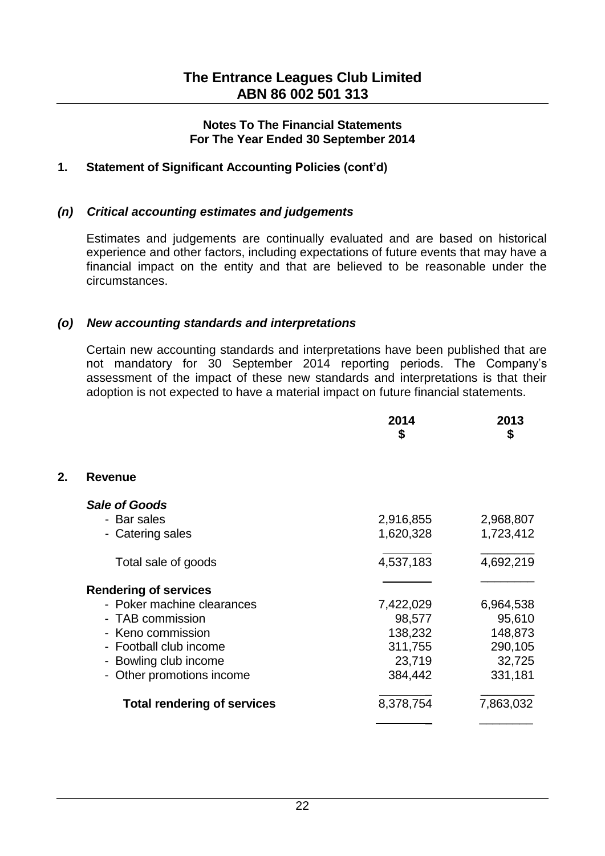# **1. Statement of Significant Accounting Policies (cont'd)**

### *(n) Critical accounting estimates and judgements*

Estimates and judgements are continually evaluated and are based on historical experience and other factors, including expectations of future events that may have a financial impact on the entity and that are believed to be reasonable under the circumstances.

### *(o) New accounting standards and interpretations*

**2. Revenue**

Certain new accounting standards and interpretations have been published that are not mandatory for 30 September 2014 reporting periods. The Company's assessment of the impact of these new standards and interpretations is that their adoption is not expected to have a material impact on future financial statements.

|                                    | 2014<br>\$ | 2013<br>\$ |
|------------------------------------|------------|------------|
| <b>Revenue</b>                     |            |            |
| <b>Sale of Goods</b>               |            |            |
| - Bar sales                        | 2,916,855  | 2,968,807  |
| - Catering sales                   | 1,620,328  | 1,723,412  |
| Total sale of goods                | 4,537,183  | 4,692,219  |
| <b>Rendering of services</b>       |            |            |
| - Poker machine clearances         | 7,422,029  | 6,964,538  |
| - TAB commission                   | 98,577     | 95,610     |
| - Keno commission                  | 138,232    | 148,873    |
| - Football club income             | 311,755    | 290,105    |
| - Bowling club income              | 23,719     | 32,725     |
| Other promotions income<br>-       | 384,442    | 331,181    |
| <b>Total rendering of services</b> | 8,378,754  | 7,863,032  |
|                                    |            |            |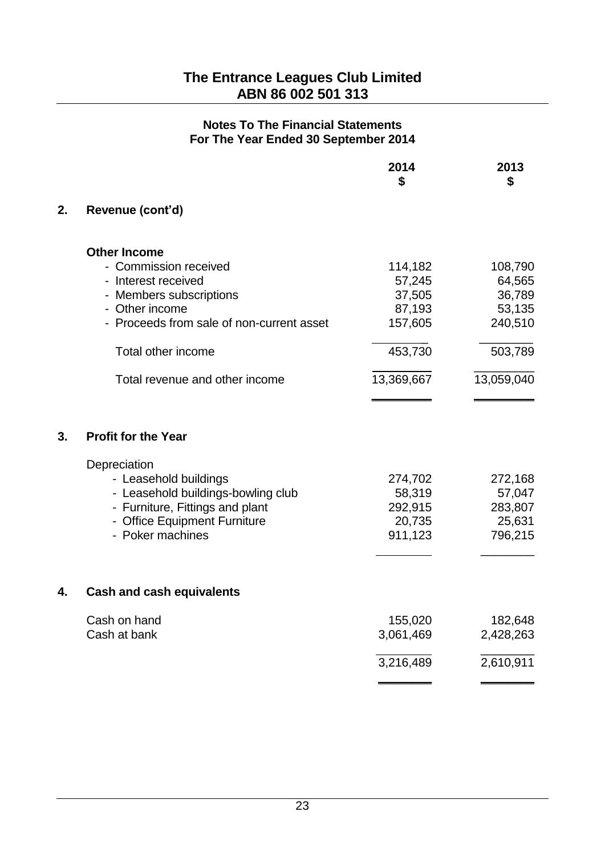# **Notes To The Financial Statements For The Year Ended 30 September 2014**

|    |                                           | 2014<br>\$ | 2013<br>\$ |
|----|-------------------------------------------|------------|------------|
| 2. | Revenue (cont'd)                          |            |            |
|    | <b>Other Income</b>                       |            |            |
|    | - Commission received                     | 114,182    | 108,790    |
|    | - Interest received                       | 57,245     | 64,565     |
|    | - Members subscriptions                   | 37,505     | 36,789     |
|    | - Other income                            | 87,193     | 53,135     |
|    | - Proceeds from sale of non-current asset | 157,605    | 240,510    |
|    | Total other income                        | 453,730    | 503,789    |
|    | Total revenue and other income            | 13,369,667 | 13,059,040 |
| 3. | <b>Profit for the Year</b>                |            |            |
|    | Depreciation                              |            |            |
|    | - Leasehold buildings                     | 274,702    | 272,168    |
|    | - Leasehold buildings-bowling club        | 58,319     | 57,047     |
|    | - Furniture, Fittings and plant           | 292,915    | 283,807    |
|    | - Office Equipment Furniture              | 20,735     | 25,631     |
|    | - Poker machines                          | 911,123    | 796,215    |
| 4. | <b>Cash and cash equivalents</b>          |            |            |
|    | Cash on hand                              | 155,020    | 182,648    |
|    | Cash at bank                              | 3,061,469  | 2,428,263  |
|    |                                           | 3,216,489  | 2,610,911  |
|    |                                           |            |            |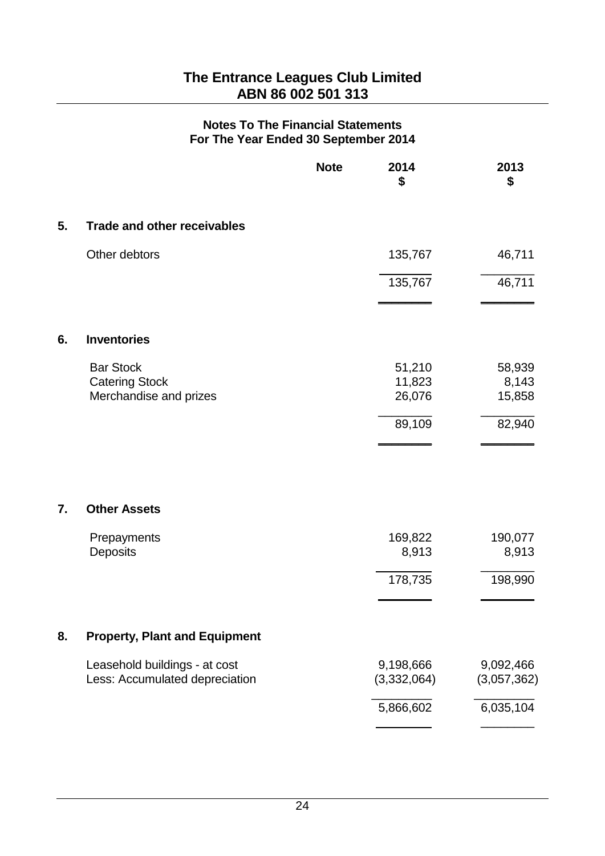# **Notes To The Financial Statements For The Year Ended 30 September 2014**

|    |                                                                     | <b>Note</b> | 2014<br>\$                 | 2013<br>\$                |
|----|---------------------------------------------------------------------|-------------|----------------------------|---------------------------|
| 5. | <b>Trade and other receivables</b>                                  |             |                            |                           |
|    | Other debtors                                                       |             | 135,767                    | 46,711                    |
|    |                                                                     |             | 135,767                    | 46,711                    |
| 6. | <b>Inventories</b>                                                  |             |                            |                           |
|    | <b>Bar Stock</b><br><b>Catering Stock</b><br>Merchandise and prizes |             | 51,210<br>11,823<br>26,076 | 58,939<br>8,143<br>15,858 |
|    |                                                                     |             | 89,109                     | 82,940                    |
| 7. | <b>Other Assets</b>                                                 |             |                            |                           |
|    | Prepayments<br>Deposits                                             |             | 169,822<br>8,913           | 190,077<br>8,913          |
|    |                                                                     |             | 178,735                    | 198,990                   |
| 8. | <b>Property, Plant and Equipment</b>                                |             |                            |                           |
|    | Leasehold buildings - at cost<br>Less: Accumulated depreciation     |             | 9,198,666<br>(3,332,064)   | 9,092,466<br>(3,057,362)  |
|    |                                                                     |             | 5,866,602                  | 6,035,104                 |
|    |                                                                     |             |                            |                           |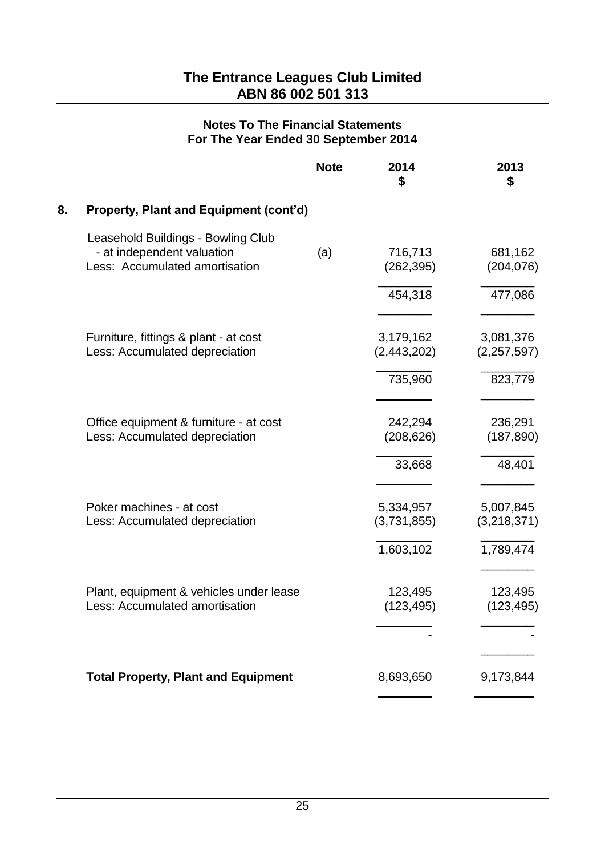# **Notes To The Financial Statements For The Year Ended 30 September 2014**

|    |                                                                                                    | <b>Note</b> | 2014<br>\$               | 2013<br>\$               |
|----|----------------------------------------------------------------------------------------------------|-------------|--------------------------|--------------------------|
| 8. | Property, Plant and Equipment (cont'd)                                                             |             |                          |                          |
|    | Leasehold Buildings - Bowling Club<br>- at independent valuation<br>Less: Accumulated amortisation | (a)         | 716,713<br>(262, 395)    | 681,162<br>(204, 076)    |
|    |                                                                                                    |             | 454,318                  | 477,086                  |
|    | Furniture, fittings & plant - at cost<br>Less: Accumulated depreciation                            |             | 3,179,162<br>(2,443,202) | 3,081,376<br>(2,257,597) |
|    |                                                                                                    |             | 735,960                  | 823,779                  |
|    | Office equipment & furniture - at cost<br>Less: Accumulated depreciation                           |             | 242,294<br>(208, 626)    | 236,291<br>(187, 890)    |
|    |                                                                                                    |             | 33,668                   | 48,401                   |
|    | Poker machines - at cost<br>Less: Accumulated depreciation                                         |             | 5,334,957<br>(3,731,855) | 5,007,845<br>(3,218,371) |
|    |                                                                                                    |             | 1,603,102                | 1,789,474                |
|    | Plant, equipment & vehicles under lease<br>Less: Accumulated amortisation                          |             | 123,495<br>(123, 495)    | 123,495<br>(123, 495)    |
|    |                                                                                                    |             |                          |                          |
|    | <b>Total Property, Plant and Equipment</b>                                                         |             | 8,693,650                | 9,173,844                |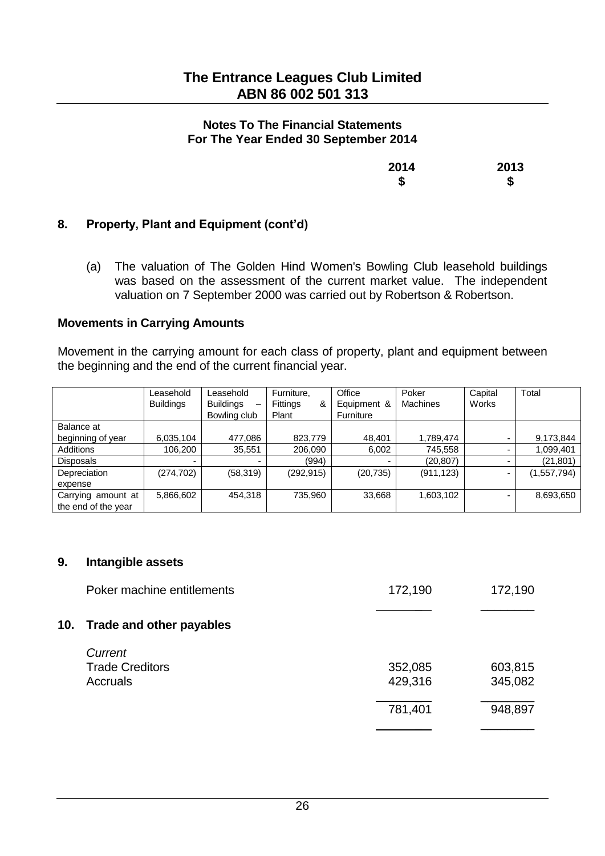| 2014 | 2013 |
|------|------|
| \$   | \$   |

# **8. Property, Plant and Equipment (cont'd)**

(a) The valuation of The Golden Hind Women's Bowling Club leasehold buildings was based on the assessment of the current market value. The independent valuation on 7 September 2000 was carried out by Robertson & Robertson.

#### **Movements in Carrying Amounts**

Movement in the carrying amount for each class of property, plant and equipment between the beginning and the end of the current financial year.

|                     | Leasehold<br><b>Buildings</b> | Leasehold<br><b>Buildings</b><br>-<br>Bowling club | Furniture,<br><b>Fittings</b><br>&<br>Plant | Office<br>Equipment &<br>Furniture | Poker<br><b>Machines</b> | Capital<br>Works         | Total         |
|---------------------|-------------------------------|----------------------------------------------------|---------------------------------------------|------------------------------------|--------------------------|--------------------------|---------------|
| Balance at          |                               |                                                    |                                             |                                    |                          |                          |               |
| beginning of year   | 6,035,104                     | 477,086                                            | 823,779                                     | 48,401                             | 1,789,474                | ٠                        | 9,173,844     |
| Additions           | 106,200                       | 35,551                                             | 206,090                                     | 6,002                              | 745,558                  | $\overline{\phantom{0}}$ | 1,099,401     |
| <b>Disposals</b>    |                               |                                                    | (994)                                       |                                    | (20,807)                 | ۰                        | (21, 801)     |
| Depreciation        | (274, 702)                    | (58, 319)                                          | (292, 915)                                  | (20, 735)                          | (911, 123)               | -                        | (1, 557, 794) |
| expense             |                               |                                                    |                                             |                                    |                          |                          |               |
| Carrying amount at  | 5,866,602                     | 454.318                                            | 735,960                                     | 33,668                             | 1,603,102                |                          | 8,693,650     |
| the end of the year |                               |                                                    |                                             |                                    |                          |                          |               |

#### **9. Intangible assets**

|     | Poker machine entitlements | 172,190 | 172,190 |
|-----|----------------------------|---------|---------|
| 10. | Trade and other payables   |         |         |
|     | Current                    |         |         |
|     | <b>Trade Creditors</b>     | 352,085 | 603,815 |
|     | <b>Accruals</b>            | 429,316 | 345,082 |
|     |                            | 781,401 | 948,897 |
|     |                            |         |         |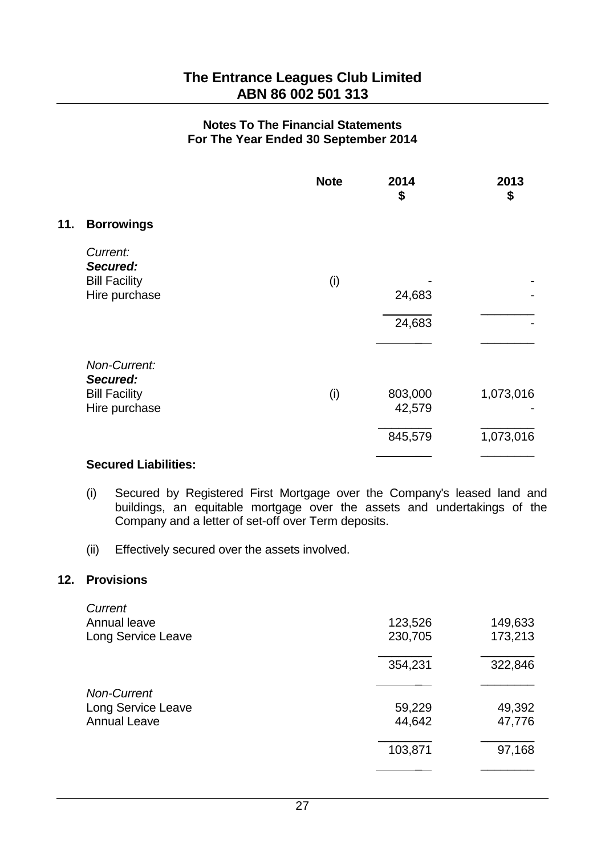### **Notes To The Financial Statements For The Year Ended 30 September 2014**

|     |                                                                   | <b>Note</b> | 2014<br>\$                   | 2013<br>\$             |
|-----|-------------------------------------------------------------------|-------------|------------------------------|------------------------|
| 11. | <b>Borrowings</b>                                                 |             |                              |                        |
|     | Current:<br>Secured:<br><b>Bill Facility</b><br>Hire purchase     | (i)         | 24,683<br>24,683             |                        |
|     | Non-Current:<br>Secured:<br><b>Bill Facility</b><br>Hire purchase | (i)         | 803,000<br>42,579<br>845,579 | 1,073,016<br>1,073,016 |

### **Secured Liabilities:**

- (i) Secured by Registered First Mortgage over the Company's leased land and buildings, an equitable mortgage over the assets and undertakings of the Company and a letter of set-off over Term deposits.
- (ii) Effectively secured over the assets involved.

# **12. Provisions**

| Current                   |         |         |
|---------------------------|---------|---------|
| Annual leave              | 123,526 | 149,633 |
| Long Service Leave        | 230,705 | 173,213 |
|                           | 354,231 | 322,846 |
| <b>Non-Current</b>        |         |         |
| <b>Long Service Leave</b> | 59,229  | 49,392  |
| <b>Annual Leave</b>       | 44,642  | 47,776  |
|                           | 103,871 | 97,168  |
|                           |         |         |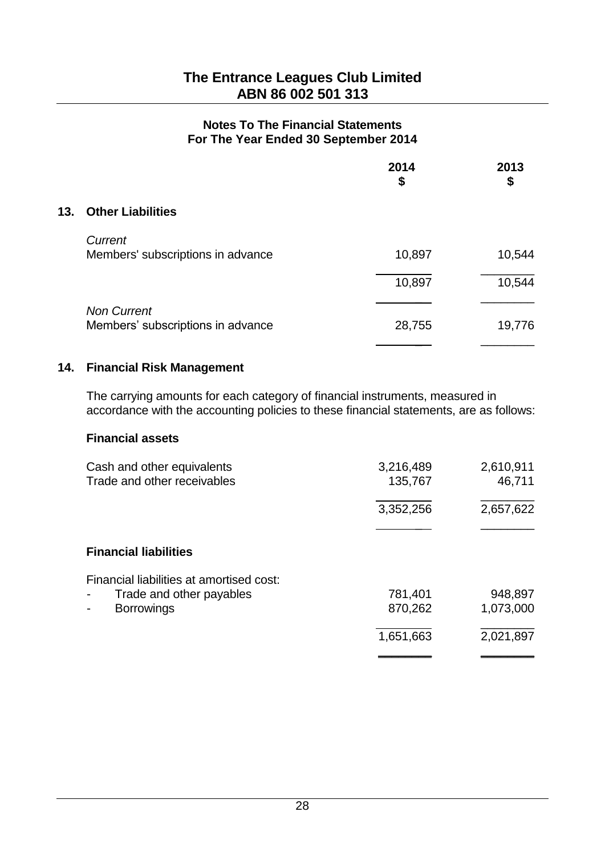### **Notes To The Financial Statements For The Year Ended 30 September 2014**

|     |                                                         | 2014<br>\$ | 2013<br>\$ |
|-----|---------------------------------------------------------|------------|------------|
| 13. | <b>Other Liabilities</b>                                |            |            |
|     | Current<br>Members' subscriptions in advance            | 10,897     | 10,544     |
|     |                                                         | 10,897     | 10,544     |
|     | <b>Non Current</b><br>Members' subscriptions in advance | 28,755     | 19,776     |

# **14. Financial Risk Management**

The carrying amounts for each category of financial instruments, measured in accordance with the accounting policies to these financial statements, are as follows:

## **Financial assets**

| Cash and other equivalents<br>Trade and other receivables | 3,216,489<br>135,767 | 2,610,911<br>46,711 |
|-----------------------------------------------------------|----------------------|---------------------|
|                                                           | 3,352,256            | 2,657,622           |
|                                                           |                      |                     |
| <b>Financial liabilities</b>                              |                      |                     |
| Financial liabilities at amortised cost:                  |                      |                     |
| Trade and other payables                                  | 781,401              | 948,897             |
| <b>Borrowings</b>                                         | 870,262              | 1,073,000           |
|                                                           | 1,651,663            | 2,021,897           |
|                                                           |                      |                     |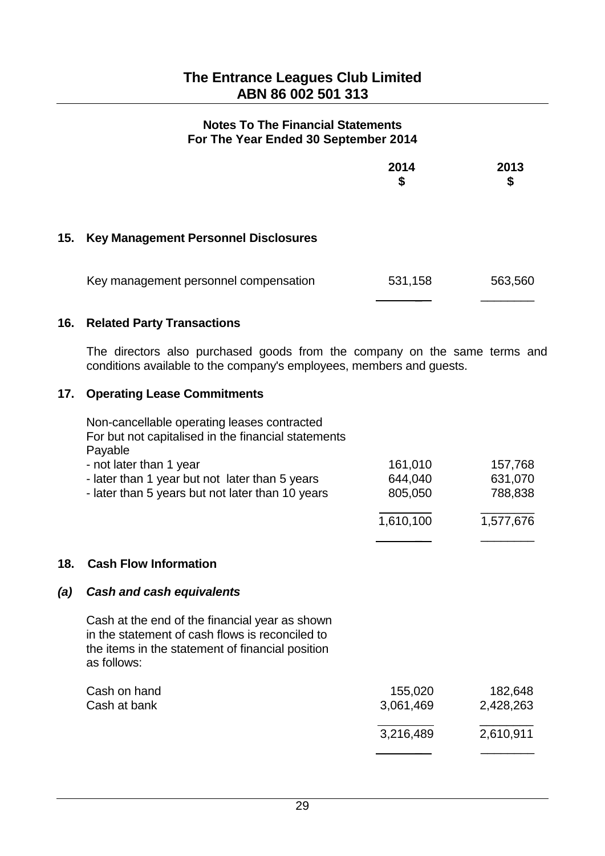|                                             | 2014<br>\$ | 2013<br>\$ |
|---------------------------------------------|------------|------------|
| <b>Key Management Personnel Disclosures</b> |            |            |
| Key management personnel compensation       | 531,158    | 563,560    |

### **16. Related Party Transactions**

**15. Key** 

The directors also purchased goods from the company on the same terms and conditions available to the company's employees, members and guests.

## **17. Operating Lease Commitments**

Non-cancellable operating leases contracted For but not capitalised in the financial statements Payable

| - not later than 1 year                          | 161,010   | 157,768   |
|--------------------------------------------------|-----------|-----------|
| - later than 1 year but not later than 5 years   | 644,040   | 631,070   |
| - later than 5 years but not later than 10 years | 805,050   | 788,838   |
|                                                  | 1,610,100 | 1,577,676 |

 $\frac{1}{2}$  , and  $\frac{1}{2}$  , and  $\frac{1}{2}$  , and  $\frac{1}{2}$  , and  $\frac{1}{2}$ 

## **18. Cash Flow Information**

## *(a) Cash and cash equivalents*

Cash at the end of the financial year as shown in the statement of cash flows is reconciled to the items in the statement of financial position as follows:

| Cash on hand | 155,020   | 182,648   |
|--------------|-----------|-----------|
| Cash at bank | 3,061,469 | 2,428,263 |
|              | 3,216,489 | 2,610,911 |
|              |           |           |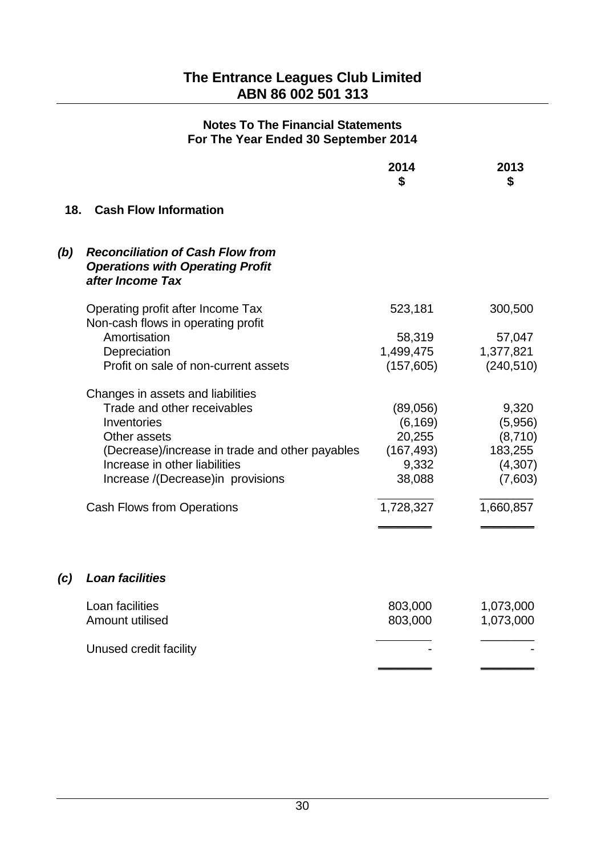|     |                                                                                                        | 2014<br>\$ | 2013<br>\$ |
|-----|--------------------------------------------------------------------------------------------------------|------------|------------|
| 18. | <b>Cash Flow Information</b>                                                                           |            |            |
| (b) | <b>Reconciliation of Cash Flow from</b><br><b>Operations with Operating Profit</b><br>after Income Tax |            |            |
|     | Operating profit after Income Tax<br>Non-cash flows in operating profit                                | 523,181    | 300,500    |
|     | Amortisation                                                                                           | 58,319     | 57,047     |
|     | Depreciation                                                                                           | 1,499,475  | 1,377,821  |
|     | Profit on sale of non-current assets                                                                   | (157, 605) | (240, 510) |
|     | Changes in assets and liabilities                                                                      |            |            |
|     | Trade and other receivables                                                                            | (89,056)   | 9,320      |
|     | Inventories                                                                                            | (6, 169)   | (5,956)    |
|     | Other assets                                                                                           | 20,255     | (8,710)    |
|     | (Decrease)/increase in trade and other payables                                                        | (167, 493) | 183,255    |
|     | Increase in other liabilities                                                                          | 9,332      | (4, 307)   |
|     | Increase /(Decrease) in provisions                                                                     | 38,088     | (7,603)    |
|     | <b>Cash Flows from Operations</b>                                                                      | 1,728,327  | 1,660,857  |
|     |                                                                                                        |            |            |
| (c) | <b>Loan facilities</b>                                                                                 |            |            |
|     | Loan facilities                                                                                        | 803,000    | 1,073,000  |
|     | Amount utilised                                                                                        | 803,000    | 1,073,000  |
|     | Unused credit facility                                                                                 |            |            |

\_\_\_\_\_\_\_\_ \_\_\_\_\_\_\_\_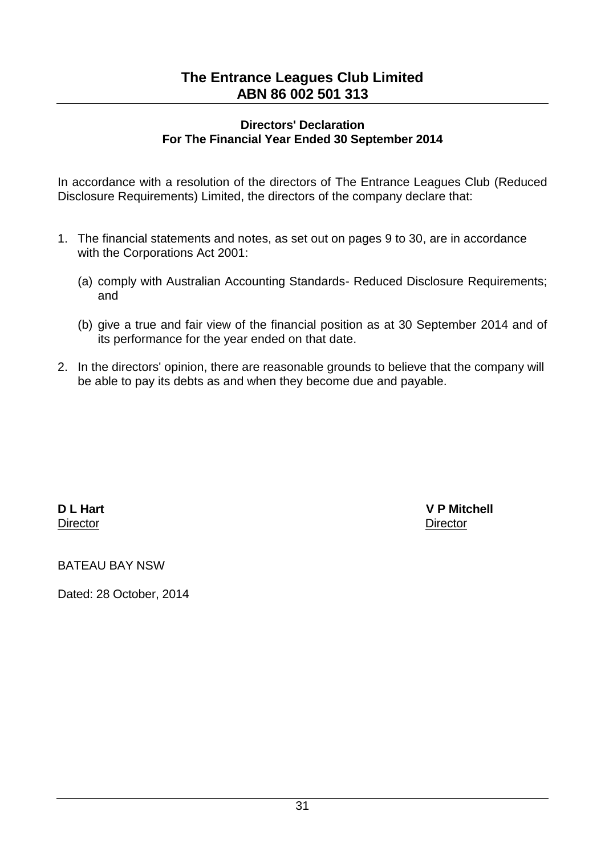### **Directors' Declaration For The Financial Year Ended 30 September 2014**

In accordance with a resolution of the directors of The Entrance Leagues Club (Reduced Disclosure Requirements) Limited, the directors of the company declare that:

- 1. The financial statements and notes, as set out on pages 9 to 30, are in accordance with the Corporations Act 2001:
	- (a) comply with Australian Accounting Standards- Reduced Disclosure Requirements; and
	- (b) give a true and fair view of the financial position as at 30 September 2014 and of its performance for the year ended on that date.
- 2. In the directors' opinion, there are reasonable grounds to believe that the company will be able to pay its debts as and when they become due and payable.

**Director** Director **Director** 

**D L Hart V P Mitchell** 

BATEAU BAY NSW

Dated: 28 October, 2014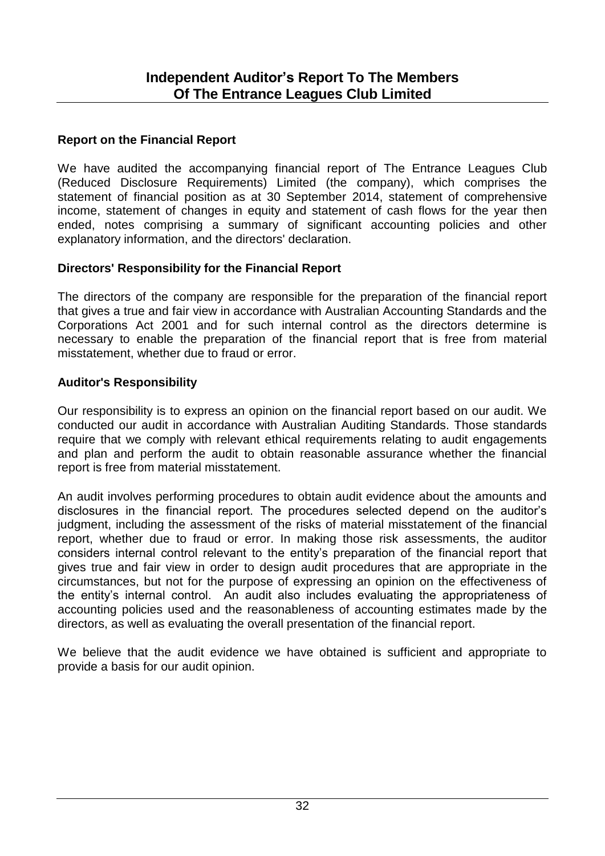# **Report on the Financial Report**

We have audited the accompanying financial report of The Entrance Leagues Club (Reduced Disclosure Requirements) Limited (the company), which comprises the statement of financial position as at 30 September 2014, statement of comprehensive income, statement of changes in equity and statement of cash flows for the year then ended, notes comprising a summary of significant accounting policies and other explanatory information, and the directors' declaration.

# **Directors' Responsibility for the Financial Report**

The directors of the company are responsible for the preparation of the financial report that gives a true and fair view in accordance with Australian Accounting Standards and the Corporations Act 2001 and for such internal control as the directors determine is necessary to enable the preparation of the financial report that is free from material misstatement, whether due to fraud or error.

# **Auditor's Responsibility**

Our responsibility is to express an opinion on the financial report based on our audit. We conducted our audit in accordance with Australian Auditing Standards. Those standards require that we comply with relevant ethical requirements relating to audit engagements and plan and perform the audit to obtain reasonable assurance whether the financial report is free from material misstatement.

An audit involves performing procedures to obtain audit evidence about the amounts and disclosures in the financial report. The procedures selected depend on the auditor's judgment, including the assessment of the risks of material misstatement of the financial report, whether due to fraud or error. In making those risk assessments, the auditor considers internal control relevant to the entity's preparation of the financial report that gives true and fair view in order to design audit procedures that are appropriate in the circumstances, but not for the purpose of expressing an opinion on the effectiveness of the entity's internal control. An audit also includes evaluating the appropriateness of accounting policies used and the reasonableness of accounting estimates made by the directors, as well as evaluating the overall presentation of the financial report.

We believe that the audit evidence we have obtained is sufficient and appropriate to provide a basis for our audit opinion.